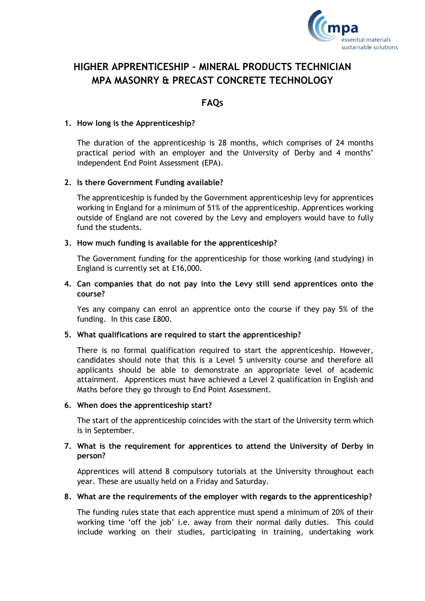

# **HIGHER APPRENTICESHIP – MINERAL PRODUCTS TECHNICIAN MPA MASONRY & PRECAST CONCRETE TECHNOLOGY**

## **FAQs**

### **1. How long is the Apprenticeship?**

The duration of the apprenticeship is 28 months, which comprises of 24 months practical period with an employer and the University of Derby and 4 months' independent End Point Assessment (EPA).

## **2. Is there Government Funding available?**

The apprenticeship is funded by the Government apprenticeship levy for apprentices working in England for a minimum of 51% of the apprenticeship. Apprentices working outside of England are not covered by the Levy and employers would have to fully fund the students.

#### **3. How much funding is available for the apprenticeship?**

The Government funding for the apprenticeship for those working (and studying) in England is currently set at £16,000.

## **4. Can companies that do not pay into the Levy still send apprentices onto the course?**

Yes any company can enrol an apprentice onto the course if they pay 5% of the funding. In this case £800.

## **5. What qualifications are required to start the apprenticeship?**

There is no formal qualification required to start the apprenticeship. However, candidates should note that this is a Level 5 university course and therefore all applicants should be able to demonstrate an appropriate level of academic attainment. Apprentices must have achieved a Level 2 qualification in English and Maths before they go through to End Point Assessment.

#### **6. When does the apprenticeship start?**

The start of the apprenticeship coincides with the start of the University term which is in September.

## **7. What is the requirement for apprentices to attend the University of Derby in person?**

Apprentices will attend 8 compulsory tutorials at the University throughout each year. These are usually held on a Friday and Saturday.

## **8. What are the requirements of the employer with regards to the apprenticeship?**

The funding rules state that each apprentice must spend a minimum of 20% of their working time 'off the job' i.e. away from their normal daily duties. This could include working on their studies, participating in training, undertaking work